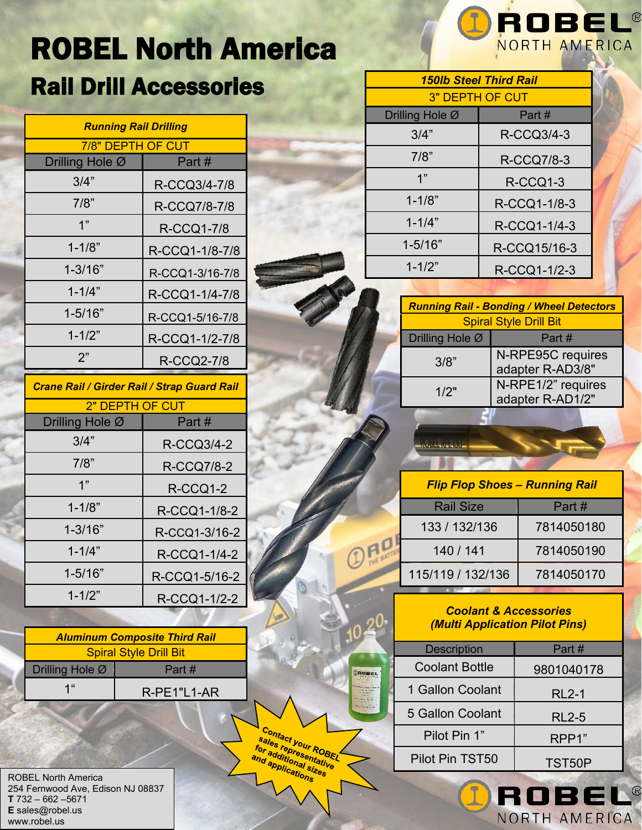## ROBEL North America **Rail Drill Accessories**

| <b>Running Rail Drilling</b> |                   |
|------------------------------|-------------------|
| 7/8" DEPTH OF CUT            |                   |
| Drilling Hole Ø              | Part #            |
| 3/4"                         | R-CCQ3/4-7/8      |
| 7/8"                         | R-CCQ7/8-7/8      |
| 1"                           | <b>R-CCQ1-7/8</b> |
| $1 - 1/8"$                   | R-CCQ1-1/8-7/8    |
| $1 - 3/16"$                  | R-CCQ1-3/16-7/8   |
| $1 - 1/4"$                   | R-CCQ1-1/4-7/8    |
| 1-5/16"                      | R-CCQ1-5/16-7/8   |
| $1 - 1/2"$                   | R-CCQ1-1/2-7/8    |
| ን"                           | <b>R-CCQ2-7/8</b> |

*Crane Rail / Girder Rail / Strap Guard Rail*

| 2" DEPTH OF CUT |                   |
|-----------------|-------------------|
| Drilling Hole Ø | Part #            |
| 3/4"            | R-CCQ3/4-2        |
| 7/8"            | <b>R-CCQ7/8-2</b> |
| 1"              | R-CCQ1-2          |
| $1 - 1/8"$      | R-CCQ1-1/8-2      |
| $1 - 3/16"$     | R-CCQ1-3/16-2     |
| $1 - 1/4"$      | R-CCQ1-1/4-2      |
| $1 - 5/16"$     | R-CCQ1-5/16-2     |
| $1 - 1/2"$      | R-CCQ1-1/2-2      |

| <b>Aluminum Composite Third Rail</b> |                |
|--------------------------------------|----------------|
| <b>Spiral Style Drill Bit</b>        |                |
| Drilling Hole Ø                      | Part #         |
| 1"                                   | $R$ -PE1"L1-AR |

ROBEL North America 254 Fernwood Ave, Edison NJ 08837 **T** 732 – 662 –5671 **E** sales@robel.us www.robel.us

| <b>150lb Steel Third Rail</b> |                   |
|-------------------------------|-------------------|
| <b>3" DEPTH OF CUT</b>        |                   |
| Drilling Hole Ø               | Part #            |
| 3/4"                          | R-CCQ3/4-3        |
| 7/8"                          | <b>R-CCQ7/8-3</b> |
| 1"                            | R-CCQ1-3          |
| $1 - 1/8"$                    | R-CCQ1-1/8-3      |
| $1 - 1/4"$                    | R-CCQ1-1/4-3      |
| $1 - 5/16"$                   | R-CCQ15/16-3      |
| $1 - 1/2"$                    | R-CCQ1-1/2-3      |
|                               |                   |

ROBEL®

NORTH AMERICA

| <b>Running Rail - Bonding / Wheel Detectors</b> |                                        |
|-------------------------------------------------|----------------------------------------|
| <b>Spiral Style Drill Bit</b>                   |                                        |
| Drilling Hole Ø                                 | Part #                                 |
| 3/8"                                            | N-RPE95C requires<br>adapter R-AD3/8"  |
| 1/2"                                            | N-RPE1/2" requires<br>adapter R-AD1/2" |
|                                                 |                                        |

| <b>Flip Flop Shoes - Running Rail</b> |            |
|---------------------------------------|------------|
| <b>Rail Size</b>                      | Part #     |
| 133 / 132/136                         | 7814050180 |
| 140 / 141                             | 7814050190 |
| 115/119 / 132/136                     | 7814050170 |

<u>e del marcana del </u>

## *Coolant & Accessories (Multi Application Pilot Pins)*

| <b>Description</b>    | Part #       |
|-----------------------|--------------|
| <b>Coolant Bottle</b> | 9801040178   |
| 1 Gallon Coolant      | RL2-1        |
| 5 Gallon Coolant      | <b>RL2-5</b> |
| Pilot Pin 1"          | RPP1"        |
| Pilot Pin TST50       | TST50P       |

ROBEL® NORTH AMERICA

Contact your ROBEL<br>For additional stative<br>ind apditional situative<br>applicational sizes sales representatively<br>for additional sizes<br>and applicational sizes<br>The applications<br>The dions or additional size

**DROBEL**